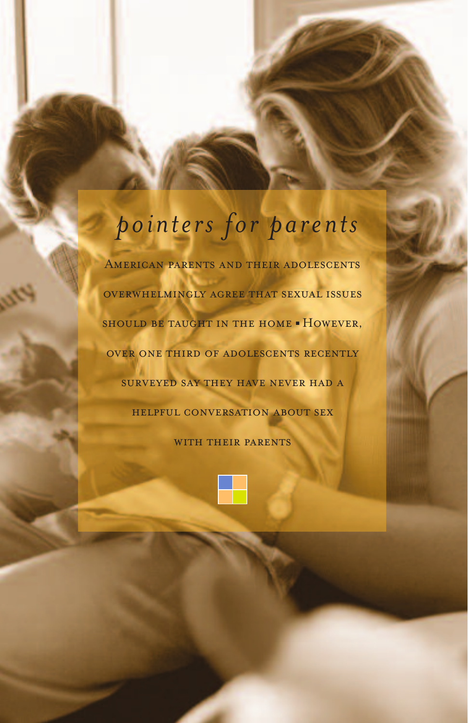# *pointers for parents*

American parents and their adolescents overwhelmingly agree that sexual issues should be taught in the home **■** However, over one third of adolescents recently surveyed say they have never had a helpful conversation about sex

WITH THEIR PARENTS

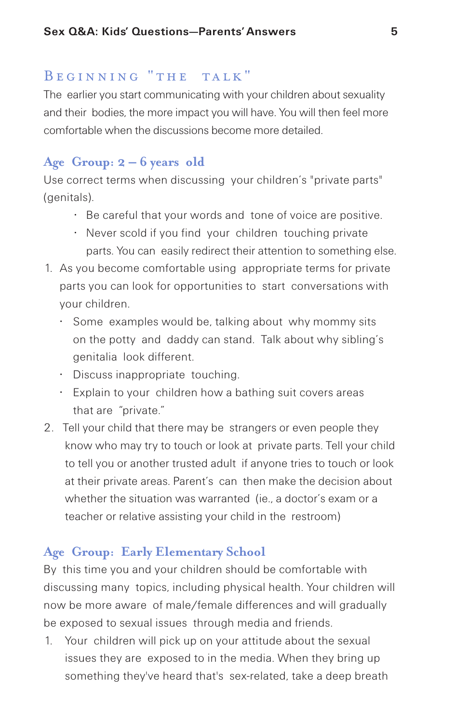## BEGINNING "THE TALK"

The earlier you start communicating with your children about sexuality and their bodies, the more impact you will have. You will then feel more comfortable when the discussions become more detailed.

# **Age Group: 2 – 6 years old**

Use correct terms when discussing your children's "private parts" (genitals).

- Be careful that your words and tone of voice are positive.
- Never scold if you find your children touching private parts. You can easily redirect their attention to something else.
- 1. As you become comfortable using appropriate terms for private parts you can look for opportunities to start conversations with your children.
	- Some examples would be, talking about why mommy sits on the potty and daddy can stand. Talk about why sibling's genitalia look different.
	- Discuss inappropriate touching.
	- Explain to your children how a bathing suit covers areas that are "private."
- 2. Tell your child that there may be strangers or even people they know who may try to touch or look at private parts. Tell your child to tell you or another trusted adult if anyone tries to touch or look at their private areas. Parent's can then make the decision about whether the situation was warranted (ie., a doctor's exam or a teacher or relative assisting your child in the restroom)

# **Age Group: Early Elementary School**

By this time you and your children should be comfortable with discussing many topics, including physical health. Your children will now be more aware of male/female differences and will gradually be exposed to sexual issues through media and friends.

1. Your children will pick up on your attitude about the sexual issues they are exposed to in the media. When they bring up something they've heard that's sex-related, take a deep breath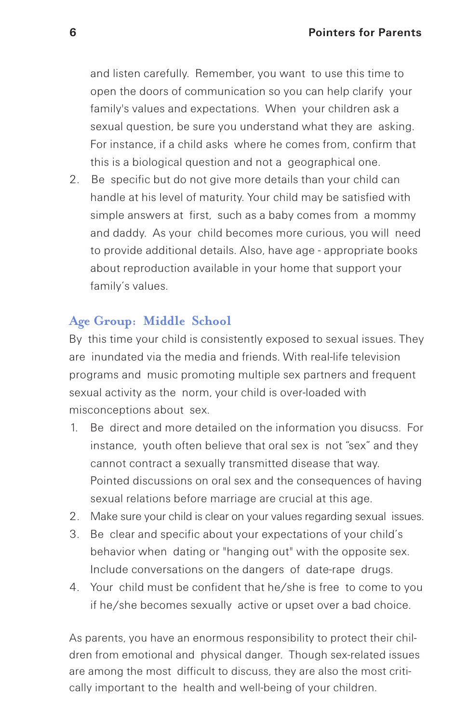and listen carefully. Remember, you want to use this time to open the doors of communication so you can help clarify your family's values and expectations. When your children ask a sexual question, be sure you understand what they are asking. For instance, if a child asks where he comes from, confirm that this is a biological question and not a geographical one.

2. Be specific but do not give more details than your child can handle at his level of maturity. Your child may be satisfied with simple answers at first, such as a baby comes from a mommy and daddy. As your child becomes more curious, you will need to provide additional details. Also, have age - appropriate books about reproduction available in your home that support your family's values.

# **Age Group: Middle School**

By this time your child is consistently exposed to sexual issues. They are inundated via the media and friends. With real-life television programs and music promoting multiple sex partners and frequent sexual activity as the norm, your child is over-loaded with misconceptions about sex.

- 1. Be direct and more detailed on the information you disucss. For instance, youth often believe that oral sex is not "sex" and they cannot contract a sexually transmitted disease that way. Pointed discussions on oral sex and the consequences of having sexual relations before marriage are crucial at this age.
- 2. Make sure your child is clear on your values regarding sexual issues.
- 3. Be clear and specific about your expectations of your child's behavior when dating or "hanging out" with the opposite sex. Include conversations on the dangers of date-rape drugs.
- 4. Your child must be confident that he/she is free to come to you if he/she becomes sexually active or upset over a bad choice.

As parents, you have an enormous responsibility to protect their children from emotional and physical danger. Though sex-related issues are among the most difficult to discuss, they are also the most critically important to the health and well-being of your children.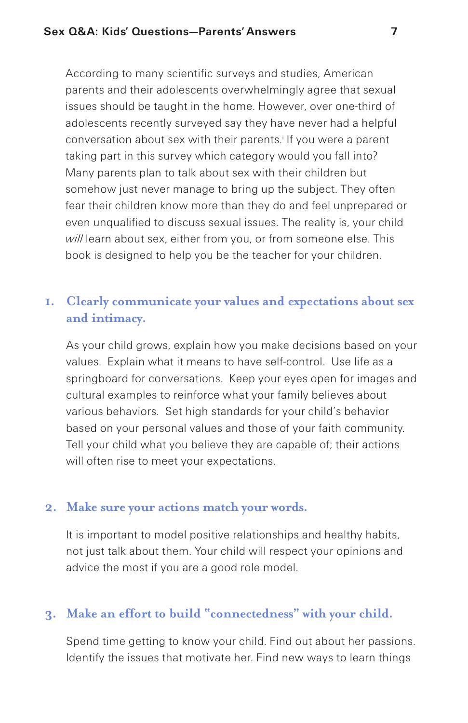According to many scientific surveys and studies, American parents and their adolescents overwhelmingly agree that sexual issues should be taught in the home. However, over one-third of adolescents recently surveyed say they have never had a helpful conversation about sex with their parents. <sup>i</sup> If you were a parent taking part in this survey which category would you fall into? Many parents plan to talk about sex with their children but somehow just never manage to bring up the subject. They often fear their children know more than they do and feel unprepared or even unqualified to discuss sexual issues. The reality is, your child *will* learn about sex, either from you, or from someone else. This book is designed to help you be the teacher for your children.

## **1. Clearly communicate your values and expectations about sex and intimacy.**

As your child grows, explain how you make decisions based on your values. Explain what it means to have self-control. Use life as a springboard for conversations. Keep your eyes open for images and cultural examples to reinforce what your family believes about various behaviors. Set high standards for your child's behavior based on your personal values and those of your faith community. Tell your child what you believe they are capable of; their actions will often rise to meet your expectations.

## **2. Make sure your actions match your words.**

It is important to model positive relationships and healthy habits, not just talk about them. Your child will respect your opinions and advice the most if you are a good role model.

## **3. Make an effort to build "connectedness" with your child.**

Spend time getting to know your child. Find out about her passions. Identify the issues that motivate her. Find new ways to learn things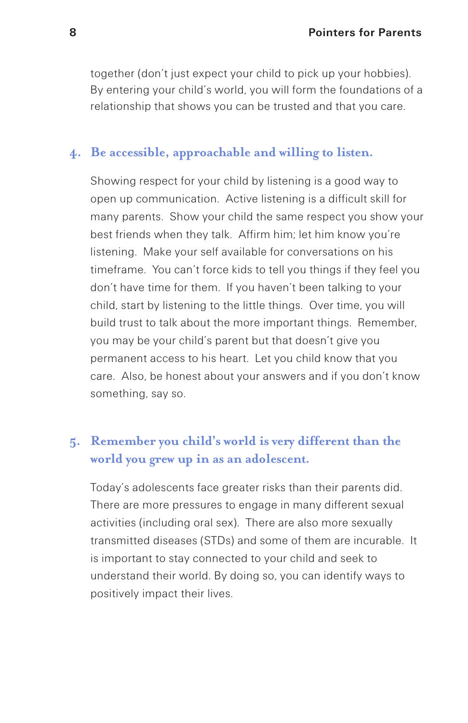together (don't just expect your child to pick up your hobbies). By entering your child's world, you will form the foundations of a relationship that shows you can be trusted and that you care.

#### **4. Be accessible, approachable and willing to listen.**

Showing respect for your child by listening is a good way to open up communication. Active listening is a difficult skill for many parents. Show your child the same respect you show your best friends when they talk. Affirm him; let him know you're listening. Make your self available for conversations on his timeframe. You can't force kids to tell you things if they feel you don't have time for them. If you haven't been talking to your child, start by listening to the little things. Over time, you will build trust to talk about the more important things. Remember, you may be your child's parent but that doesn't give you permanent access to his heart. Let you child know that you care. Also, be honest about your answers and if you don't know something, say so.

# **5. Remember you child's world is very different than the world you grew up in as an adolescent.**

Today's adolescents face greater risks than their parents did. There are more pressures to engage in many different sexual activities (including oral sex). There are also more sexually transmitted diseases (STDs) and some of them are incurable. It is important to stay connected to your child and seek to understand their world. By doing so, you can identify ways to positively impact their lives.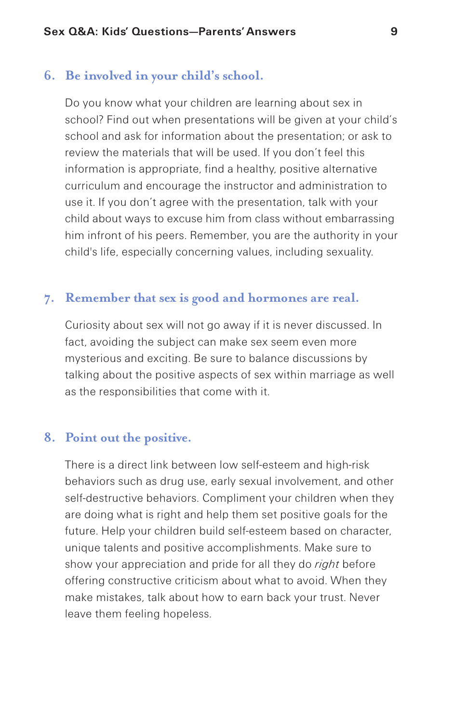## **6. Be involved in your child's school.**

Do you know what your children are learning about sex in school? Find out when presentations will be given at your child's school and ask for information about the presentation; or ask to review the materials that will be used. If you don't feel this information is appropriate, find a healthy, positive alternative curriculum and encourage the instructor and administration to use it. If you don't agree with the presentation, talk with your child about ways to excuse him from class without embarrassing him infront of his peers. Remember, you are the authority in your child's life, especially concerning values, including sexuality.

## **7. Remember that sex is good and hormones are real.**

Curiosity about sex will not go away if it is never discussed. In fact, avoiding the subject can make sex seem even more mysterious and exciting. Be sure to balance discussions by talking about the positive aspects of sex within marriage as well as the responsibilities that come with it.

## **8. Point out the positive.**

There is a direct link between low self-esteem and high-risk behaviors such as drug use, early sexual involvement, and other self-destructive behaviors. Compliment your children when they are doing what is right and help them set positive goals for the future. Help your children build self-esteem based on character, unique talents and positive accomplishments. Make sure to show your appreciation and pride for all they do *right* before offering constructive criticism about what to avoid. When they make mistakes, talk about how to earn back your trust. Never leave them feeling hopeless.